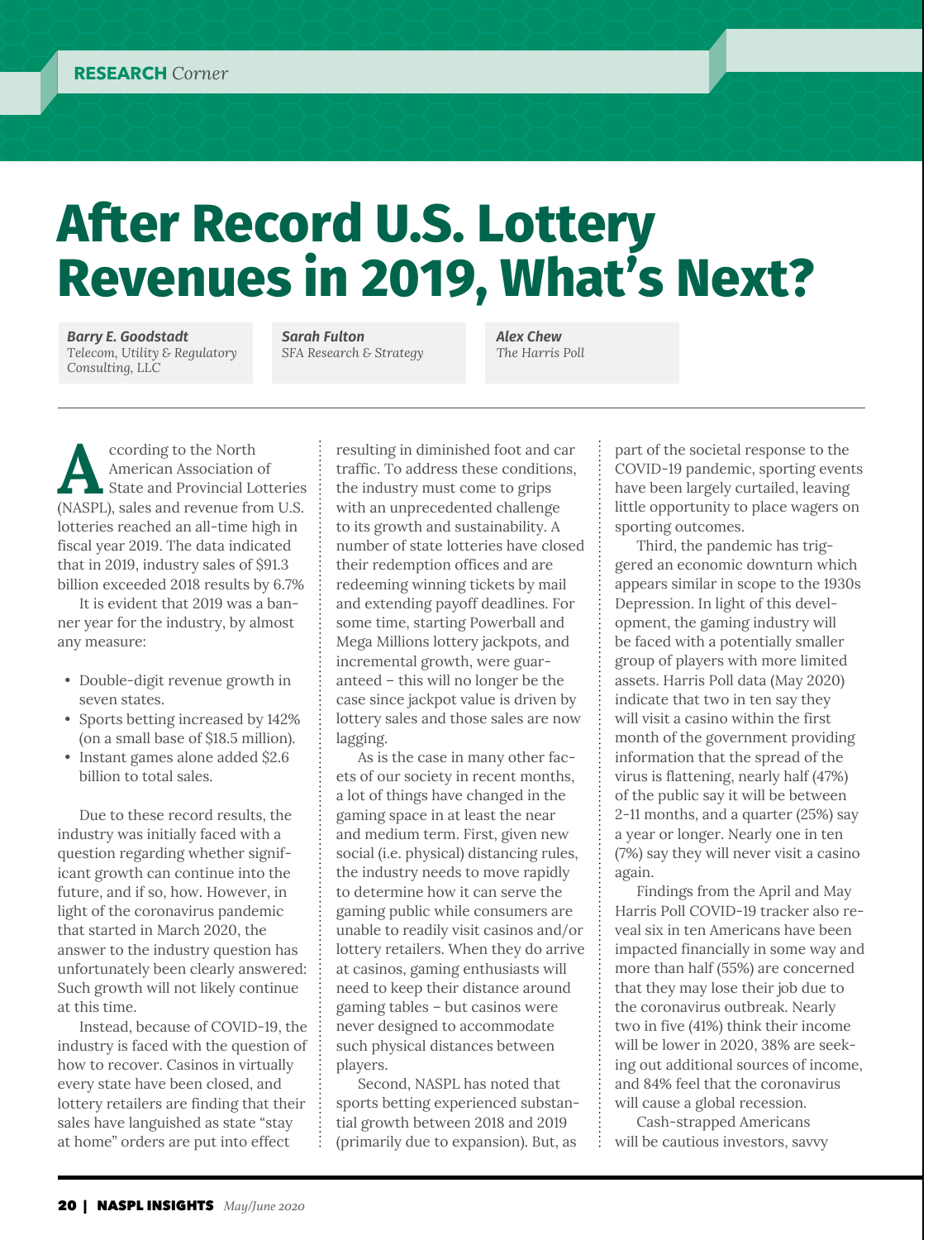# **After Record U.S. Lottery Revenues in 2019, What's Next?**

*Barry E. Goodstadt Telecom, Utility & Regulatory Consulting, LLC*

*Sarah Fulton SFA Research & Strategy*  *Alex Chew The Harris Poll*

**A**ccording to the North American Association of State and Provincial Lotteries (NASPL), sales and revenue from U.S. lotteries reached an all-time high in fiscal year 2019. The data indicated that in 2019, industry sales of \$91.3 billion exceeded 2018 results by 6.7%

It is evident that 2019 was a banner year for the industry, by almost any measure:

- Double-digit revenue growth in seven states.
- Sports betting increased by 142% (on a small base of \$18.5 million).
- Instant games alone added \$2.6 billion to total sales.

Due to these record results, the industry was initially faced with a question regarding whether significant growth can continue into the future, and if so, how. However, in light of the coronavirus pandemic that started in March 2020, the answer to the industry question has unfortunately been clearly answered: Such growth will not likely continue at this time.

Instead, because of COVID-19, the industry is faced with the question of how to recover. Casinos in virtually every state have been closed, and lottery retailers are finding that their sales have languished as state "stay at home" orders are put into effect

resulting in diminished foot and car traffic. To address these conditions, the industry must come to grips with an unprecedented challenge to its growth and sustainability. A number of state lotteries have closed their redemption offices and are redeeming winning tickets by mail and extending payoff deadlines. For some time, starting Powerball and Mega Millions lottery jackpots, and incremental growth, were guaranteed – this will no longer be the case since jackpot value is driven by lottery sales and those sales are now lagging.

As is the case in many other facets of our society in recent months, a lot of things have changed in the gaming space in at least the near and medium term. First, given new social (i.e. physical) distancing rules, the industry needs to move rapidly to determine how it can serve the gaming public while consumers are unable to readily visit casinos and/or lottery retailers. When they do arrive at casinos, gaming enthusiasts will need to keep their distance around gaming tables – but casinos were never designed to accommodate such physical distances between players.

Second, NASPL has noted that sports betting experienced substantial growth between 2018 and 2019 (primarily due to expansion). But, as

part of the societal response to the COVID-19 pandemic, sporting events have been largely curtailed, leaving little opportunity to place wagers on sporting outcomes.

Third, the pandemic has triggered an economic downturn which appears similar in scope to the 1930s Depression. In light of this development, the gaming industry will be faced with a potentially smaller group of players with more limited assets. Harris Poll data (May 2020) indicate that two in ten say they will visit a casino within the first month of the government providing information that the spread of the virus is flattening, nearly half (47%) of the public say it will be between 2-11 months, and a quarter (25%) say a year or longer. Nearly one in ten (7%) say they will never visit a casino again.

Findings from the April and May Harris Poll COVID-19 tracker also reveal six in ten Americans have been impacted financially in some way and more than half (55%) are concerned that they may lose their job due to the coronavirus outbreak. Nearly two in five (41%) think their income will be lower in 2020, 38% are seeking out additional sources of income, and 84% feel that the coronavirus will cause a global recession.

Cash-strapped Americans will be cautious investors, savvy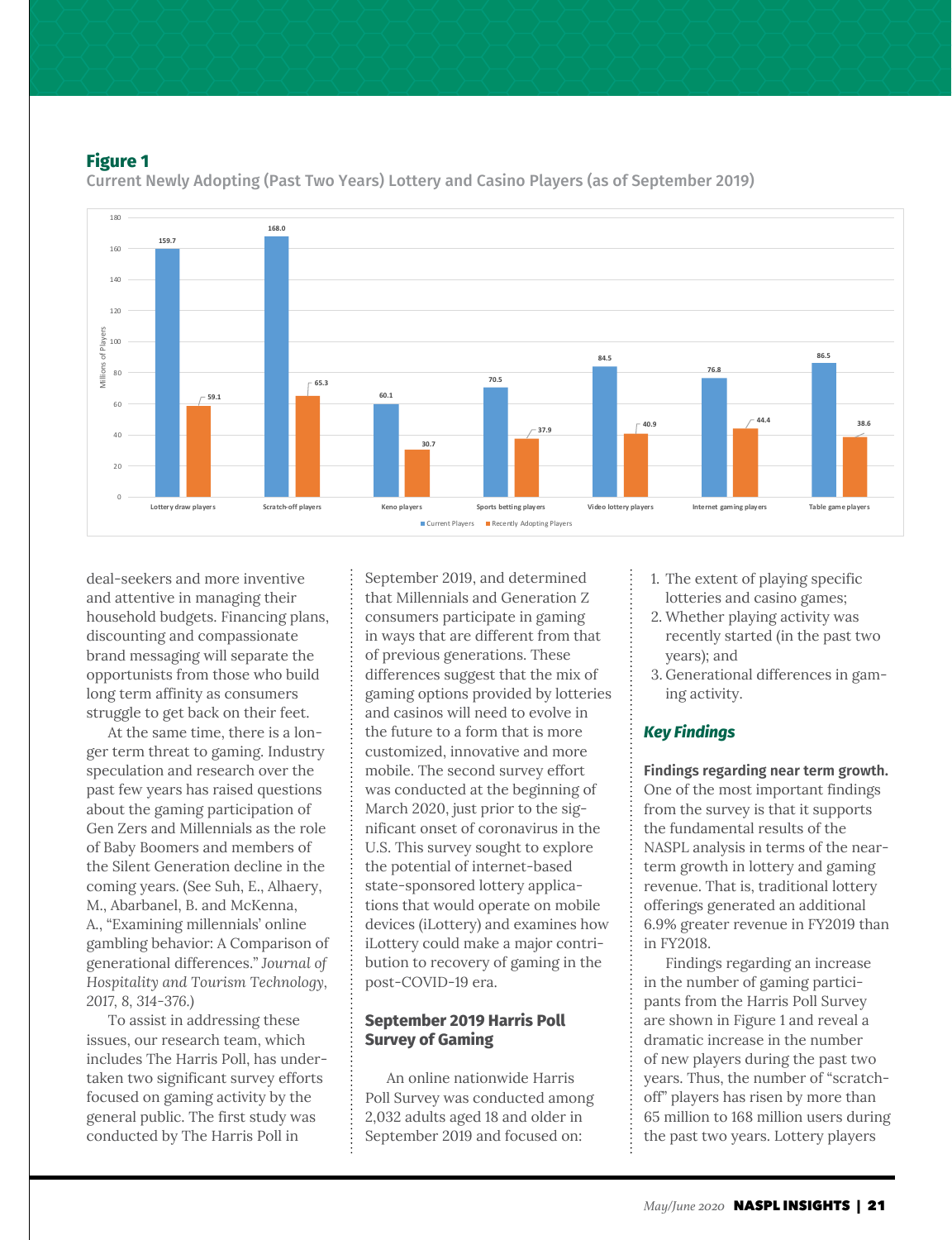#### **Figure 1**



Current Newly Adopting (Past Two Years) Lottery and Casino Players (as of September 2019)

deal-seekers and more inventive and attentive in managing their household budgets. Financing plans, discounting and compassionate brand messaging will separate the opportunists from those who build long term affinity as consumers struggle to get back on their feet.

At the same time, there is a longer term threat to gaming. Industry speculation and research over the past few years has raised questions about the gaming participation of Gen Zers and Millennials as the role of Baby Boomers and members of the Silent Generation decline in the coming years. (See Suh, E., Alhaery, M., Abarbanel, B. and McKenna, A., "Examining millennials' online gambling behavior: A Comparison of generational differences." *Journal of Hospitality and Tourism Technology, 2017, 8, 314-376.)*

To assist in addressing these issues, our research team, which includes The Harris Poll, has undertaken two significant survey efforts focused on gaming activity by the general public. The first study was conducted by The Harris Poll in

September 2019, and determined that Millennials and Generation Z consumers participate in gaming in ways that are different from that of previous generations. These differences suggest that the mix of gaming options provided by lotteries and casinos will need to evolve in the future to a form that is more customized, innovative and more mobile. The second survey effort was conducted at the beginning of March 2020, just prior to the significant onset of coronavirus in the U.S. This survey sought to explore the potential of internet-based state-sponsored lottery applications that would operate on mobile devices (iLottery) and examines how iLottery could make a major contribution to recovery of gaming in the post-COVID-19 era.

# **September 2019 Harris Poll Survey of Gaming**

An online nationwide Harris Poll Survey was conducted among 2,032 adults aged 18 and older in September 2019 and focused on:

- 1. The extent of playing specific lotteries and casino games;
- 2. Whether playing activity was recently started (in the past two years); and
- 3. Generational differences in gaming activity.

## *Key Findings*

**Findings regarding near term growth.** One of the most important findings from the survey is that it supports the fundamental results of the NASPL analysis in terms of the nearterm growth in lottery and gaming revenue. That is, traditional lottery offerings generated an additional 6.9% greater revenue in FY2019 than in FY2018.

Findings regarding an increase in the number of gaming participants from the Harris Poll Survey are shown in Figure 1 and reveal a dramatic increase in the number of new players during the past two years. Thus, the number of "scratchoff" players has risen by more than 65 million to 168 million users during the past two years. Lottery players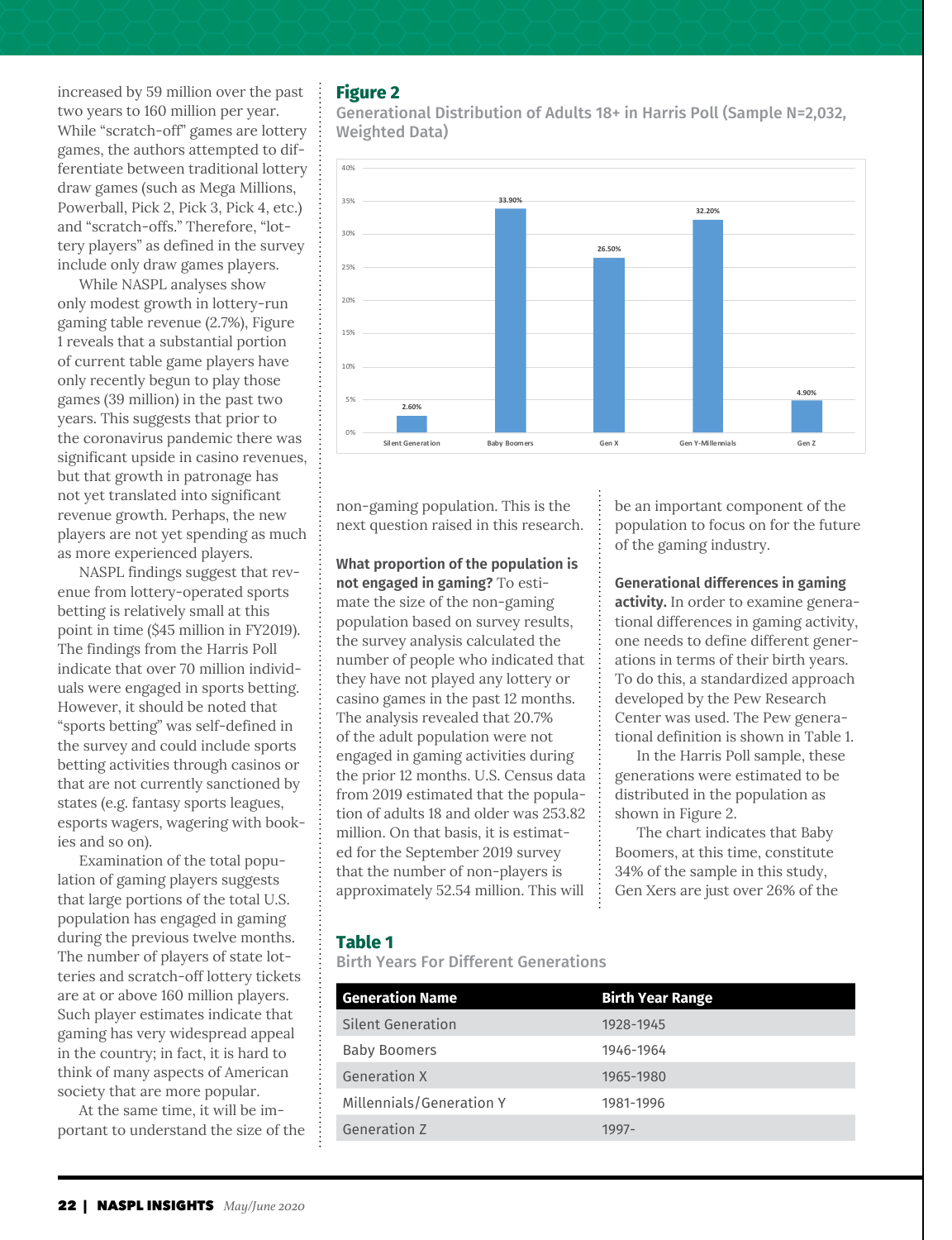increased by 59 million over the past two years to 160 million per year. While "scratch-off" games are lottery games, the authors attempted to differentiate between traditional lottery draw games (such as Mega Millions, Powerball, Pick 2, Pick 3, Pick 4, etc.) and "scratch-offs." Therefore, "lottery players" as defined in the survey include only draw games players.

While NASPL analyses show only modest growth in lottery-run gaming table revenue (2.7%), Figure 1 reveals that a substantial portion of current table game players have only recently begun to play those games (39 million) in the past two years. This suggests that prior to the coronavirus pandemic there was significant upside in casino revenues, but that growth in patronage has not yet translated into significant revenue growth. Perhaps, the new players are not yet spending as much as more experienced players.

NASPL findings suggest that revenue from lottery-operated sports betting is relatively small at this point in time (\$45 million in FY2019). The findings from the Harris Poll indicate that over 70 million individuals were engaged in sports betting. However, it should be noted that "sports betting" was self-defined in the survey and could include sports betting activities through casinos or that are not currently sanctioned by states (e.g. fantasy sports leagues, esports wagers, wagering with bookies and so on).

Examination of the total population of gaming players suggests that large portions of the total U.S. population has engaged in gaming during the previous twelve months. The number of players of state lotteries and scratch-off lottery tickets are at or above 160 million players. Such player estimates indicate that gaming has very widespread appeal in the country; in fact, it is hard to think of many aspects of American society that are more popular.

At the same time, it will be important to understand the size of the

# **Figure 2**

Generational Distribution of Adults 18+ in Harris Poll (Sample N=2,032, Weighted Data)



non-gaming population. This is the next question raised in this research.

**What proportion of the population is not engaged in gaming?** To estimate the size of the non-gaming population based on survey results, the survey analysis calculated the number of people who indicated that they have not played any lottery or casino games in the past 12 months. The analysis revealed that 20.7% of the adult population were not engaged in gaming activities during the prior 12 months. U.S. Census data from 2019 estimated that the population of adults 18 and older was 253.82 million. On that basis, it is estimated for the September 2019 survey that the number of non-players is approximately 52.54 million. This will

be an important component of the population to focus on for the future of the gaming industry.

**Generational differences in gaming activity.** In order to examine generational differences in gaming activity, one needs to define different generations in terms of their birth years. To do this, a standardized approach developed by the Pew Research Center was used. The Pew generational definition is shown in Table 1.

In the Harris Poll sample, these generations were estimated to be distributed in the population as shown in Figure 2.

The chart indicates that Baby Boomers, at this time, constitute 34% of the sample in this study, Gen Xers are just over 26% of the

## **Table 1**

Birth Years For Different Generations

| <b>Generation Name</b>   | <b>Birth Year Range</b> |
|--------------------------|-------------------------|
| Silent Generation        | 1928-1945               |
| <b>Baby Boomers</b>      | 1946-1964               |
| <b>Generation X</b>      | 1965-1980               |
| Millennials/Generation Y | 1981-1996               |
| Generation Z             | 1997-                   |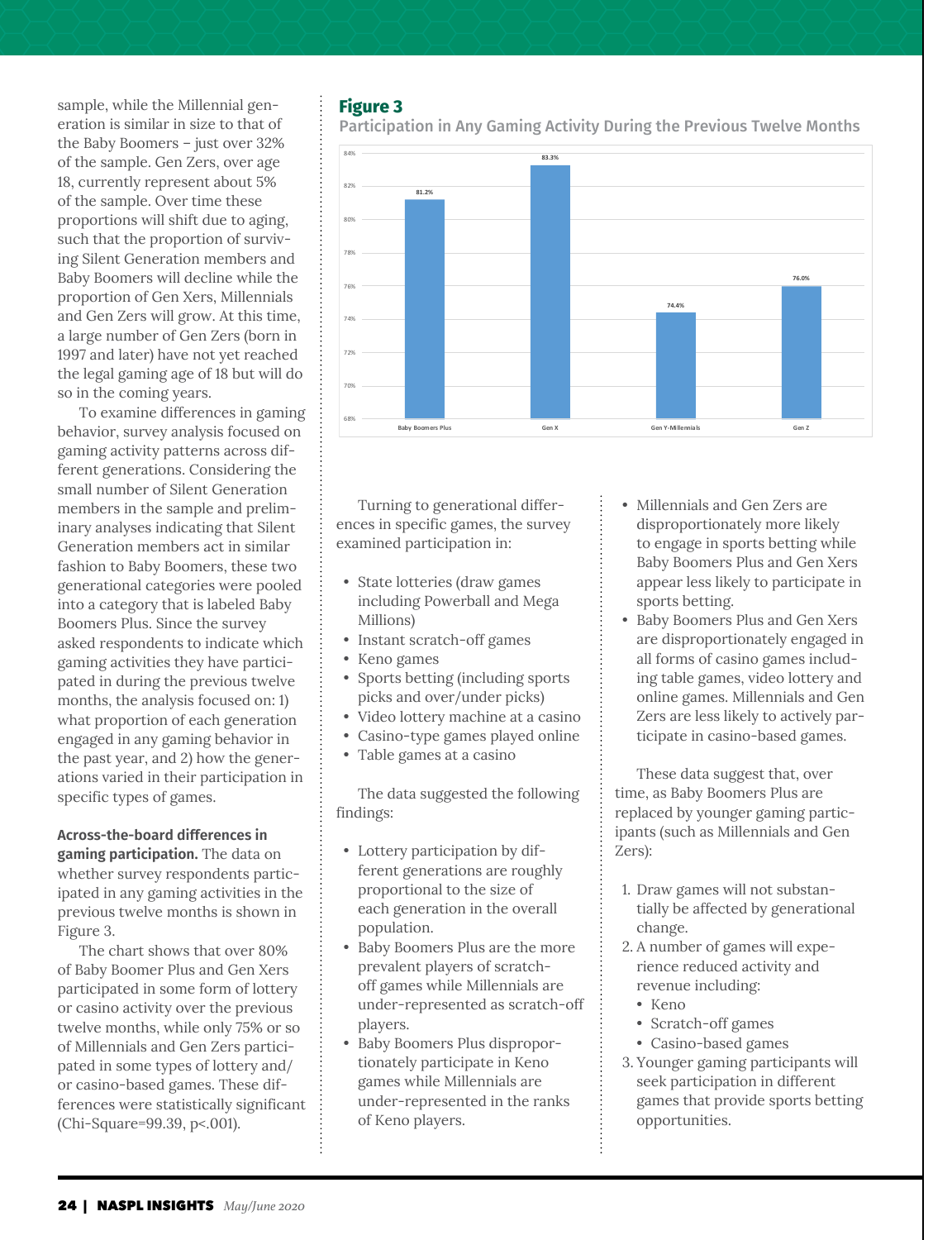sample, while the Millennial generation is similar in size to that of the Baby Boomers – just over 32% of the sample. Gen Zers, over age 18, currently represent about 5% of the sample. Over time these proportions will shift due to aging, such that the proportion of surviving Silent Generation members and Baby Boomers will decline while the proportion of Gen Xers, Millennials and Gen Zers will grow. At this time, a large number of Gen Zers (born in 1997 and later) have not yet reached the legal gaming age of 18 but will do so in the coming years.

To examine differences in gaming behavior, survey analysis focused on gaming activity patterns across different generations. Considering the small number of Silent Generation members in the sample and preliminary analyses indicating that Silent Generation members act in similar fashion to Baby Boomers, these two generational categories were pooled into a category that is labeled Baby Boomers Plus. Since the survey asked respondents to indicate which gaming activities they have participated in during the previous twelve months, the analysis focused on: 1) what proportion of each generation engaged in any gaming behavior in the past year, and 2) how the generations varied in their participation in specific types of games.

# **Across-the-board differences in**

**gaming participation.** The data on whether survey respondents participated in any gaming activities in the previous twelve months is shown in Figure 3.

The chart shows that over 80% of Baby Boomer Plus and Gen Xers participated in some form of lottery or casino activity over the previous twelve months, while only 75% or so of Millennials and Gen Zers participated in some types of lottery and/ or casino-based games. These differences were statistically significant (Chi-Square=99.39, p<.001).

#### **Figure 3**

Participation in Any Gaming Activity During the Previous Twelve Months



Turning to generational differences in specific games, the survey examined participation in:

- State lotteries (draw games including Powerball and Mega Millions)
- Instant scratch-off games
- Keno games
- Sports betting (including sports picks and over/under picks)
- Video lottery machine at a casino
- Casino-type games played online
- Table games at a casino

The data suggested the following findings:

- Lottery participation by different generations are roughly proportional to the size of each generation in the overall population.
- Baby Boomers Plus are the more prevalent players of scratchoff games while Millennials are under-represented as scratch-off players.
- Baby Boomers Plus disproportionately participate in Keno games while Millennials are under-represented in the ranks of Keno players.
- Millennials and Gen Zers are disproportionately more likely to engage in sports betting while Baby Boomers Plus and Gen Xers appear less likely to participate in sports betting.
- Baby Boomers Plus and Gen Xers are disproportionately engaged in all forms of casino games including table games, video lottery and online games. Millennials and Gen Zers are less likely to actively participate in casino-based games.

These data suggest that, over time, as Baby Boomers Plus are replaced by younger gaming participants (such as Millennials and Gen Zers):

- 1. Draw games will not substantially be affected by generational change.
- 2. A number of games will experience reduced activity and revenue including:
	- Keno
	- Scratch-off games
	- Casino-based games
- 3. Younger gaming participants will seek participation in different games that provide sports betting opportunities.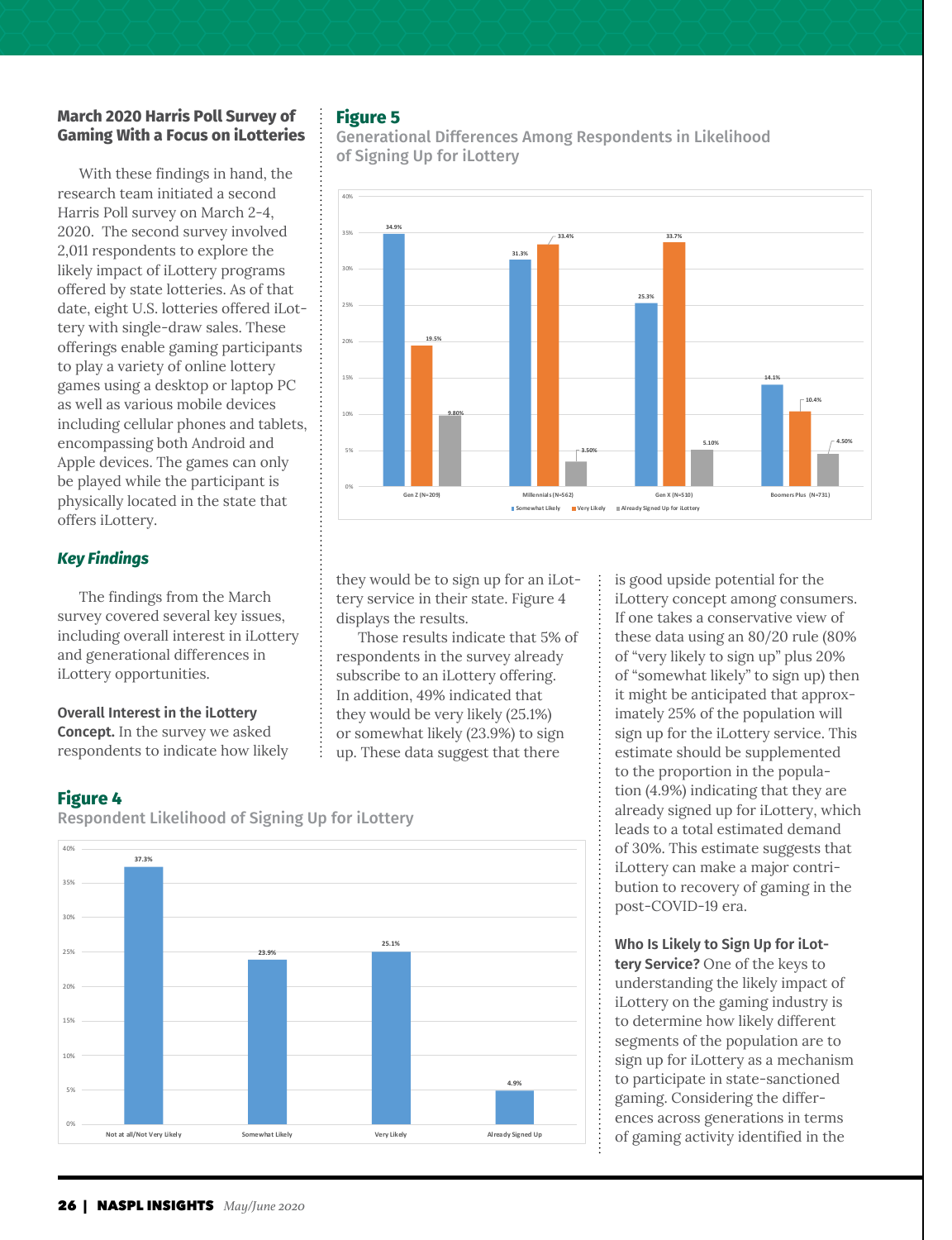# **March 2020 Harris Poll Survey of Gaming With a Focus on iLotteries**

With these findings in hand, the research team initiated a second Harris Poll survey on March 2-4, 2020. The second survey involved 2,011 respondents to explore the likely impact of iLottery programs offered by state lotteries. As of that date, eight U.S. lotteries offered iLottery with single-draw sales. These offerings enable gaming participants to play a variety of online lottery games using a desktop or laptop PC as well as various mobile devices including cellular phones and tablets, encompassing both Android and Apple devices. The games can only be played while the participant is physically located in the state that offers iLottery.

# *Key Findings*

The findings from the March survey covered several key issues, including overall interest in iLottery and generational differences in iLottery opportunities.

#### **Overall Interest in the iLottery**

**Concept.** In the survey we asked respondents to indicate how likely

# **Figure 4**

Respondent Likelihood of Signing Up for iLottery



# **Figure 5**

Generational Differences Among Respondents in Likelihood of Signing Up for iLottery



they would be to sign up for an iLottery service in their state. Figure 4 displays the results.

Those results indicate that 5% of respondents in the survey already subscribe to an iLottery offering. In addition, 49% indicated that they would be very likely (25.1%) or somewhat likely (23.9%) to sign up. These data suggest that there

is good upside potential for the iLottery concept among consumers. If one takes a conservative view of these data using an 80/20 rule (80% of "very likely to sign up" plus 20% of "somewhat likely" to sign up) then it might be anticipated that approximately 25% of the population will sign up for the iLottery service. This estimate should be supplemented to the proportion in the population (4.9%) indicating that they are already signed up for iLottery, which leads to a total estimated demand of 30%. This estimate suggests that iLottery can make a major contribution to recovery of gaming in the post-COVID-19 era.

# **Who Is Likely to Sign Up for iLot-**

**tery Service?** One of the keys to understanding the likely impact of iLottery on the gaming industry is to determine how likely different segments of the population are to sign up for iLottery as a mechanism to participate in state-sanctioned gaming. Considering the differences across generations in terms of gaming activity identified in the